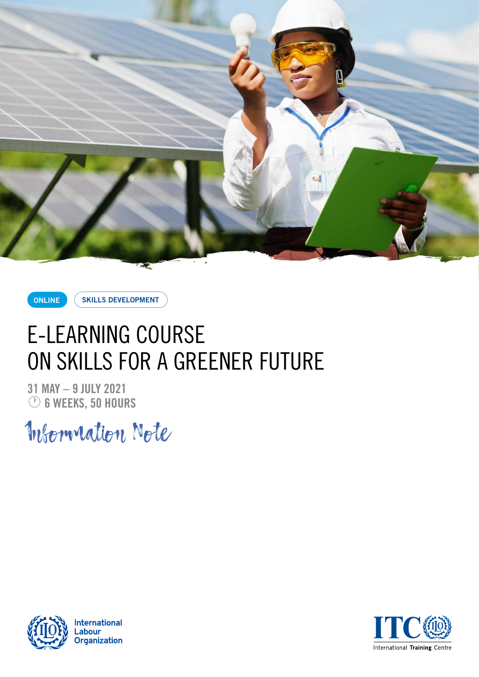

**ONLINE**

**SKILLS DEVELOPMENT**

# E-LEARNING COURSE ON SKILLS FOR A GREENER FUTURE

**31 MAY – 9 JULY 2021** · **6 WEEKS, 50 HOURS**

Information Note



**International** .abour **Organization** 

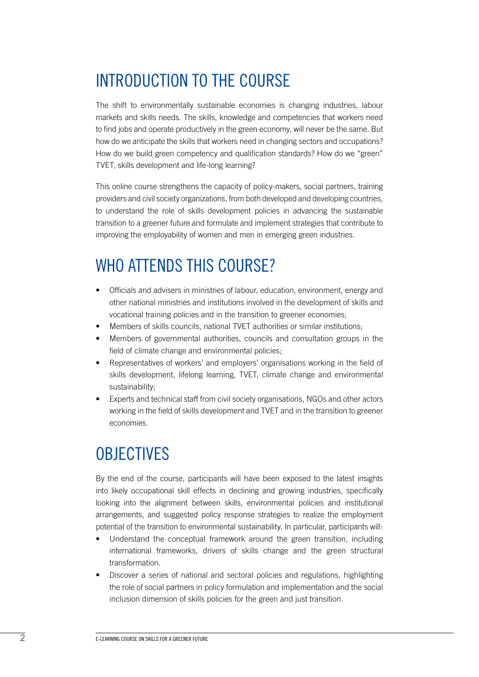### INTRODUCTION TO THE COURSE

The shift to environmentally sustainable economies is changing industries, labour markets and skills needs. The skills, knowledge and competencies that workers need to find jobs and operate productively in the green economy, will never be the same. But how do we anticipate the skills that workers need in changing sectors and occupations? How do we build green competency and qualification standards? How do we "green" TVET, skills development and life-long learning?

This online course strengthens the capacity of policy-makers, social partners, training providers and civil society organizations, from both developed and developing countries, to understand the role of skills development policies in advancing the sustainable transition to a greener future and formulate and implement strategies that contribute to improving the employability of women and men in emerging green industries.

#### WHO ATTENDS THIS COURSE?

- Officials and advisers in ministries of labour, education, environment, energy and other national ministries and institutions involved in the development of skills and vocational training policies and in the transition to greener economies;
- Members of skills councils, national TVET authorities or similar institutions;
- Members of governmental authorities, councils and consultation groups in the field of climate change and environmental policies;
- Representatives of workers' and employers' organisations working in the field of skills development, lifelong learning, TVET, climate change and environmental sustainability;
- Experts and technical staff from civil society organisations, NGOs and other actors working in the field of skills development and TVET and in the transition to greener economies.

#### **OBJECTIVES**

By the end of the course, participants will have been exposed to the latest insights into likely occupational skill effects in declining and growing industries, specifically looking into the alignment between skills, environmental policies and institutional arrangements, and suggested policy response strategies to realize the employment potential of the transition to environmental sustainability. In particular, participants will:

- Understand the conceptual framework around the green transition, including international frameworks, drivers of skills change and the green structural transformation.
- Discover a series of national and sectoral policies and regulations, highlighting the role of social partners in policy formulation and implementation and the social inclusion dimension of skills policies for the green and just transition.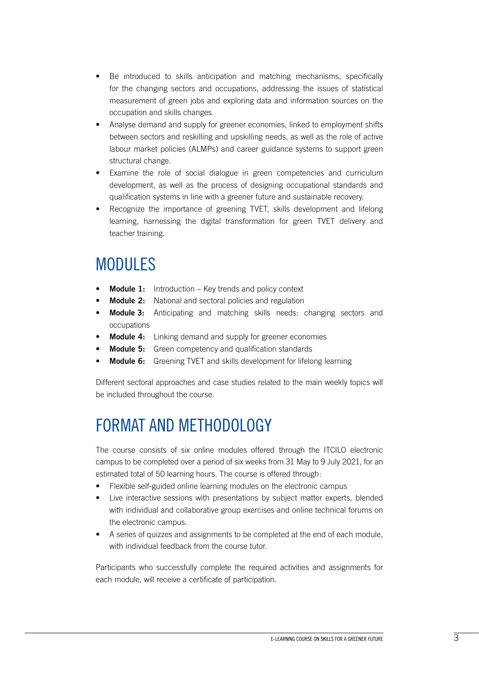- Be introduced to skills anticipation and matching mechanisms, specifically for the changing sectors and occupations, addressing the issues of statistical measurement of green jobs and exploring data and information sources on the occupation and skills changes.
- Analyse demand and supply for greener economies, linked to employment shifts between sectors and reskilling and upskilling needs, as well as the role of active labour market policies (ALMPs) and career guidance systems to support green structural change.
- Examine the role of social dialogue in green competencies and curriculum development, as well as the process of designing occupational standards and qualification systems in line with a greener future and sustainable recovery.
- Recognize the importance of greening TVET, skills development and lifelong learning, harnessing the digital transformation for green TVET delivery and teacher training.

#### MODULES

- **Module 1:** Introduction Key trends and policy context
- **Module 2:** National and sectoral policies and regulation
- **Module 3:** Anticipating and matching skills needs: changing sectors and occupations
- **Module 4:** Linking demand and supply for greener economies
- **Module 5:** Green competency and qualification standards
- **Module 6:** Greening TVET and skills development for lifelong learning

Different sectoral approaches and case studies related to the main weekly topics will be included throughout the course.

## FORMAT AND METHODOLOGY

The course consists of six online modules offered through the ITCILO electronic campus to be completed over a period of six weeks from 31 May to 9 July 2021, for an estimated total of 50 learning hours. The course is offered through:

- Flexible self-guided online learning modules on the electronic campus
- Live interactive sessions with presentations by subject matter experts, blended with individual and collaborative group exercises and online technical forums on the electronic campus.
- A series of quizzes and assignments to be completed at the end of each module, with individual feedback from the course tutor.

Participants who successfully complete the required activities and assignments for each module, will receive a certificate of participation.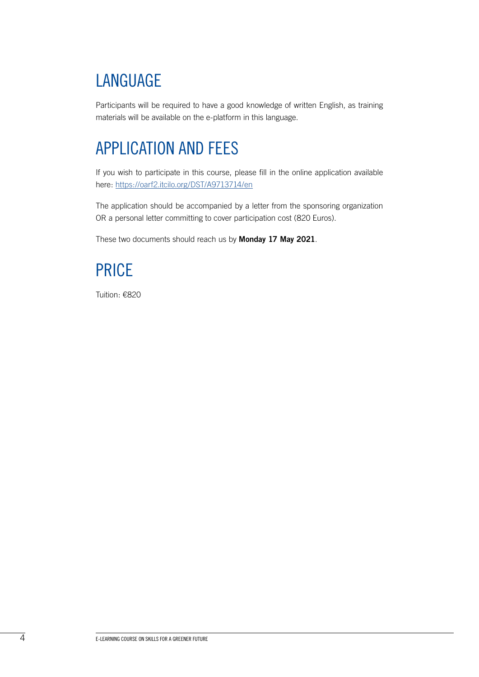## LANGUAGE

Participants will be required to have a good knowledge of written English, as training materials will be available on the e-platform in this language.

#### APPLICATION AND FEES

If you wish to participate in this course, please fill in the online application available here: <https://oarf2.itcilo.org/DST/A9713714/en>

The application should be accompanied by a letter from the sponsoring organization OR a personal letter committing to cover participation cost (820 Euros).

These two documents should reach us by **Monday 17 May 2021**.

#### PRICE

Tuition: €820